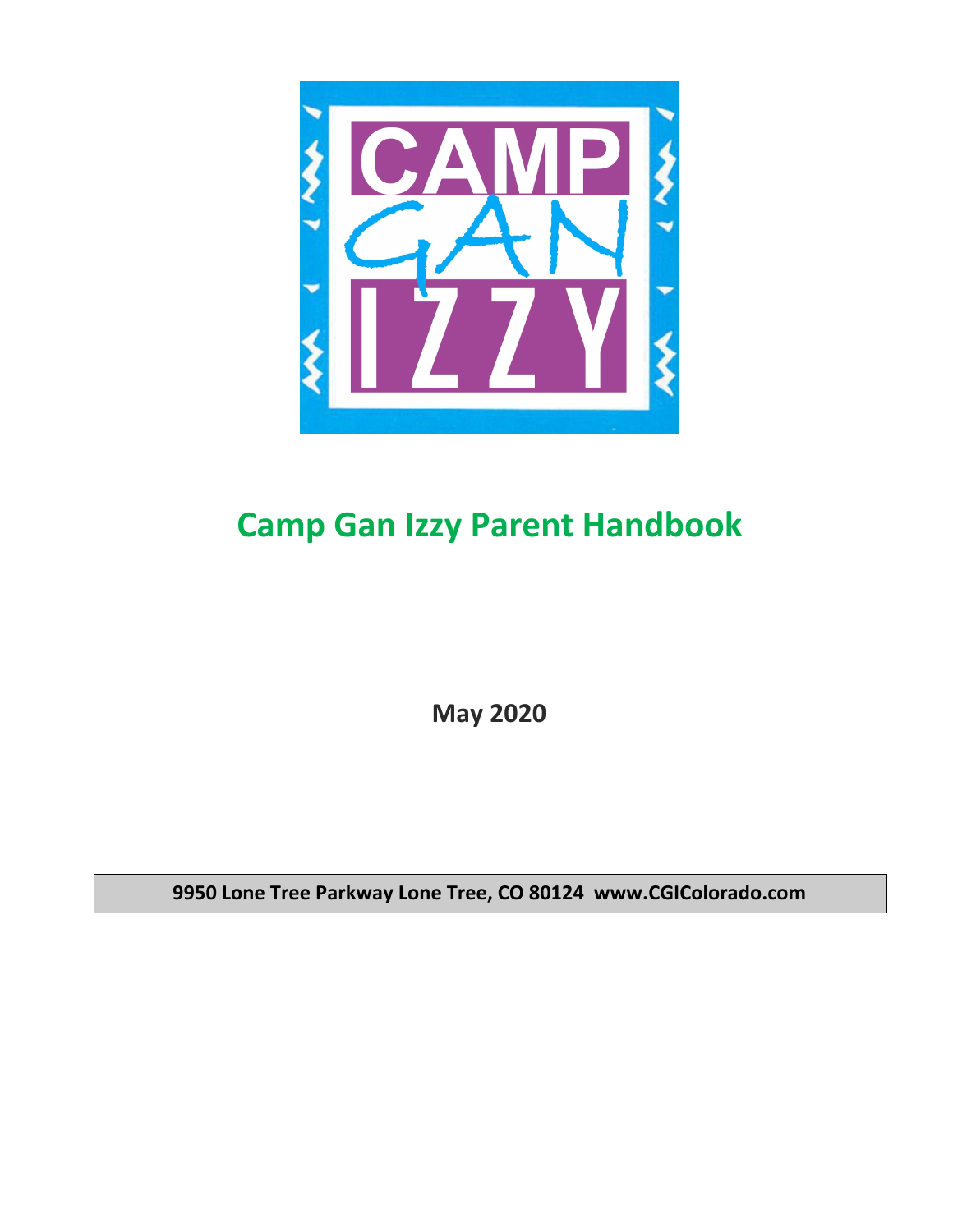

# **Camp Gan Izzy Parent Handbook**

**May 2020**

**9950 Lone Tree Parkway Lone Tree, CO 80124 www.CGIColorado.com**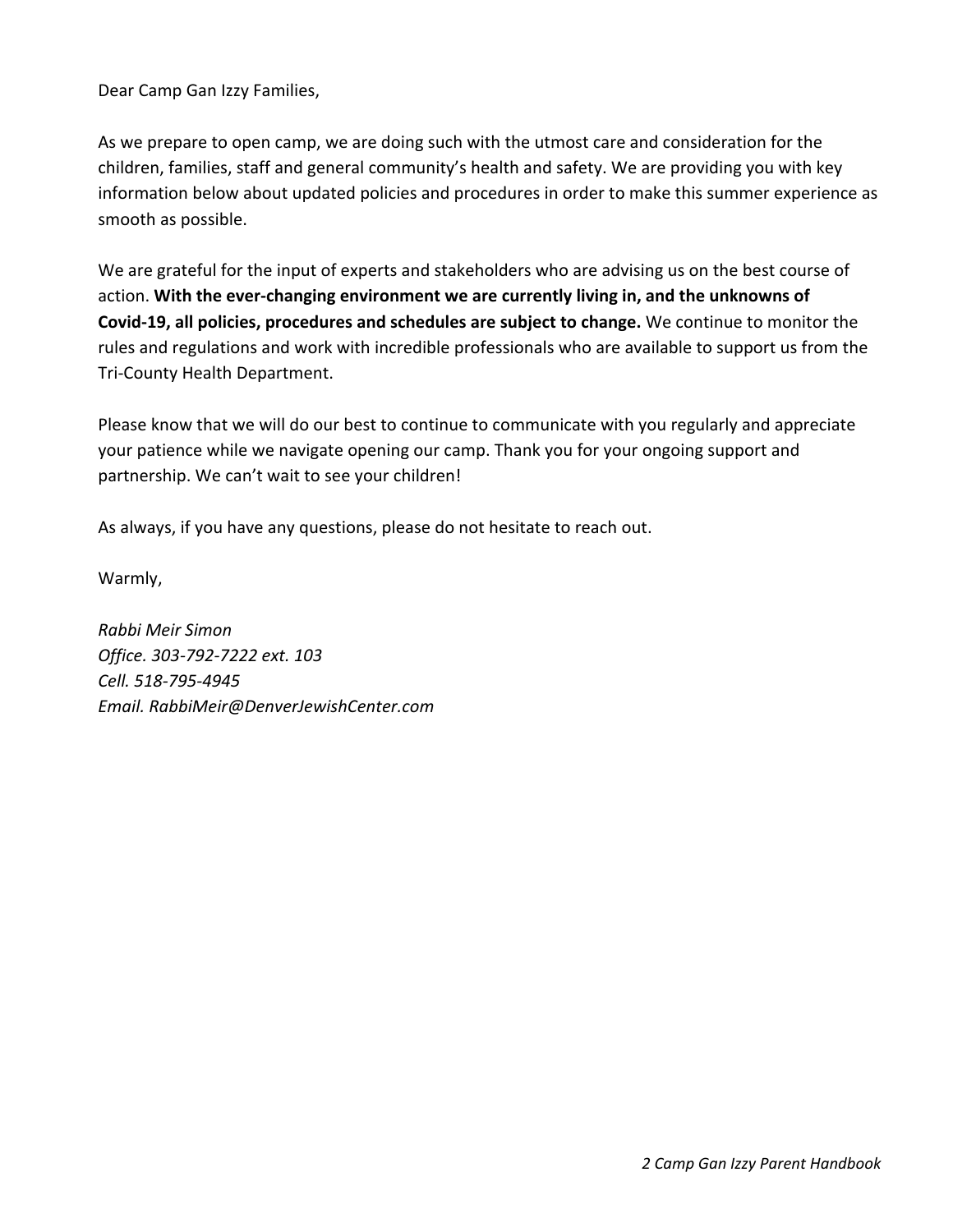Dear Camp Gan Izzy Families,

As we prepare to open camp, we are doing such with the utmost care and consideration for the children, families, staff and general community's health and safety. We are providing you with key information below about updated policies and procedures in order to make this summer experience as smooth as possible.

We are grateful for the input of experts and stakeholders who are advising us on the best course of action. **With the ever-changing environment we are currently living in, and the unknowns of Covid-19, all policies, procedures and schedules are subject to change.** We continue to monitor the rules and regulations and work with incredible professionals who are available to support us from the Tri-County Health Department.

Please know that we will do our best to continue to communicate with you regularly and appreciate your patience while we navigate opening our camp. Thank you for your ongoing support and partnership. We can't wait to see your children!

As always, if you have any questions, please do not hesitate to reach out.

Warmly,

*Rabbi Meir Simon Office. 303-792-7222 ext. 103 Cell. 518-795-4945 Email. RabbiMeir@DenverJewishCenter.com*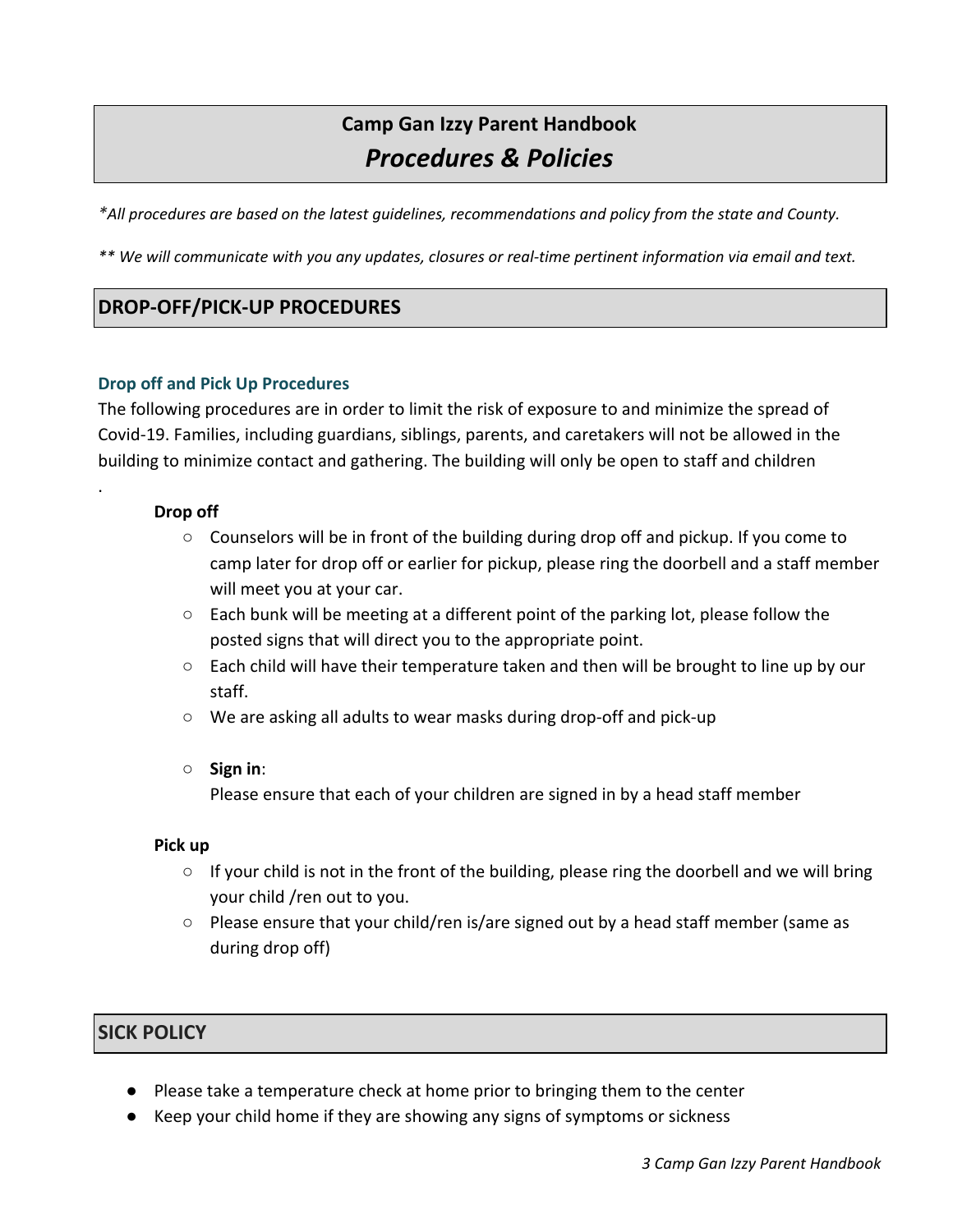# **Camp Gan Izzy Parent Handbook** *Procedures & Policies*

*\*All procedures are based on the latest guidelines, recommendations and policy from the state and County.*

\*\* We will communicate with you any updates, closures or real-time pertinent information via email and text.

# **DROP-OFF/PICK-UP PROCEDURES**

#### **Drop off and Pick Up Procedures**

The following procedures are in order to limit the risk of exposure to and minimize the spread of Covid-19. Families, including guardians, siblings, parents, and caretakers will not be allowed in the building to minimize contact and gathering. The building will only be open to staff and children

### **Drop off**

.

- $\circ$  Counselors will be in front of the building during drop off and pickup. If you come to camp later for drop off or earlier for pickup, please ring the doorbell and a staff member will meet you at your car.
- $\circ$  Each bunk will be meeting at a different point of the parking lot, please follow the posted signs that will direct you to the appropriate point.
- Each child will have their temperature taken and then will be brought to line up by our staff.
- We are asking all adults to wear masks during drop-off and pick-up

# ○ **Sign in**:

Please ensure that each of your children are signed in by a head staff member

#### **Pick up**

- If your child is not in the front of the building, please ring the doorbell and we will bring your child /ren out to you.
- Please ensure that your child/ren is/are signed out by a head staff member (same as during drop off)

# **SICK POLICY**

- Please take a temperature check at home prior to bringing them to the center
- Keep your child home if they are showing any signs of symptoms or sickness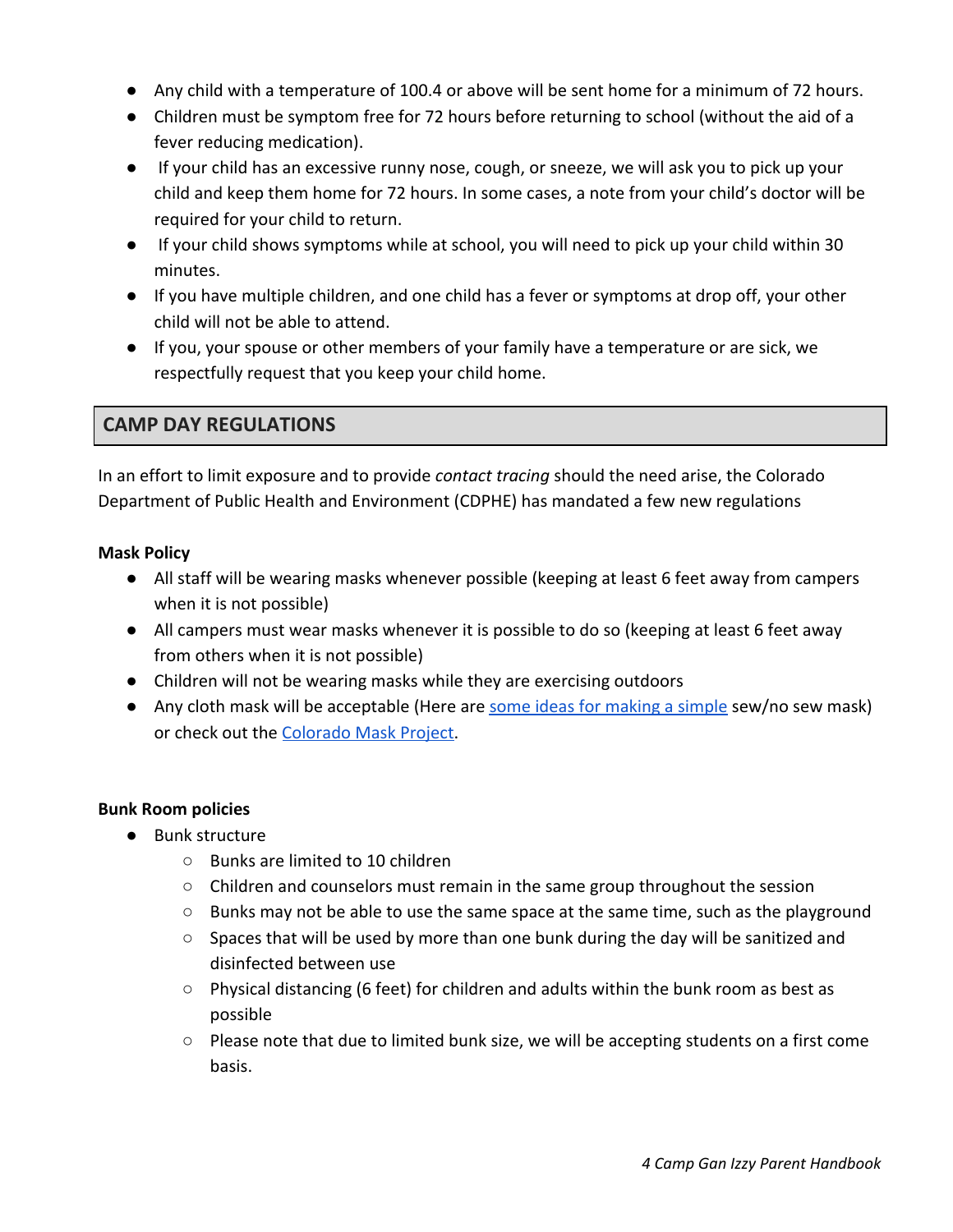- Any child with a temperature of 100.4 or above will be sent home for a minimum of 72 hours.
- Children must be symptom free for 72 hours before returning to school (without the aid of a fever reducing medication).
- If your child has an excessive runny nose, cough, or sneeze, we will ask you to pick up your child and keep them home for 72 hours. In some cases, a note from your child's doctor will be required for your child to return.
- If your child shows symptoms while at school, you will need to pick up your child within 30 minutes.
- If you have multiple children, and one child has a fever or symptoms at drop off, your other child will not be able to attend.
- If you, your spouse or other members of your family have a temperature or are sick, we respectfully request that you keep your child home.

# **CAMP DAY REGULATIONS**

In an effort to limit exposure and to provide *contact tracing* should the need arise, the Colorado Department of Public Health and Environment (CDPHE) has mandated a few new regulations

### **Mask Policy**

- All staff will be wearing masks whenever possible (keeping at least 6 feet away from campers when it is not possible)
- All campers must wear masks whenever it is possible to do so (keeping at least 6 feet away from others when it is not possible)
- Children will not be wearing masks while they are exercising outdoors
- Any cloth mask will be acceptable (Here are [some ideas for making a simple](https://www.today.com/style/how-make-face-mask-fabric-home-t177225) sew/no sew mask) or check out the [Colorado Mask Project.](https://www.coloradomaskproject.com/)

# **Bunk Room policies**

- Bunk structure
	- Bunks are limited to 10 children
	- $\circ$  Children and counselors must remain in the same group throughout the session
	- $\circ$  Bunks may not be able to use the same space at the same time, such as the playground
	- $\circ$  Spaces that will be used by more than one bunk during the day will be sanitized and disinfected between use
	- $\circ$  Physical distancing (6 feet) for children and adults within the bunk room as best as possible
	- Please note that due to limited bunk size, we will be accepting students on a first come basis.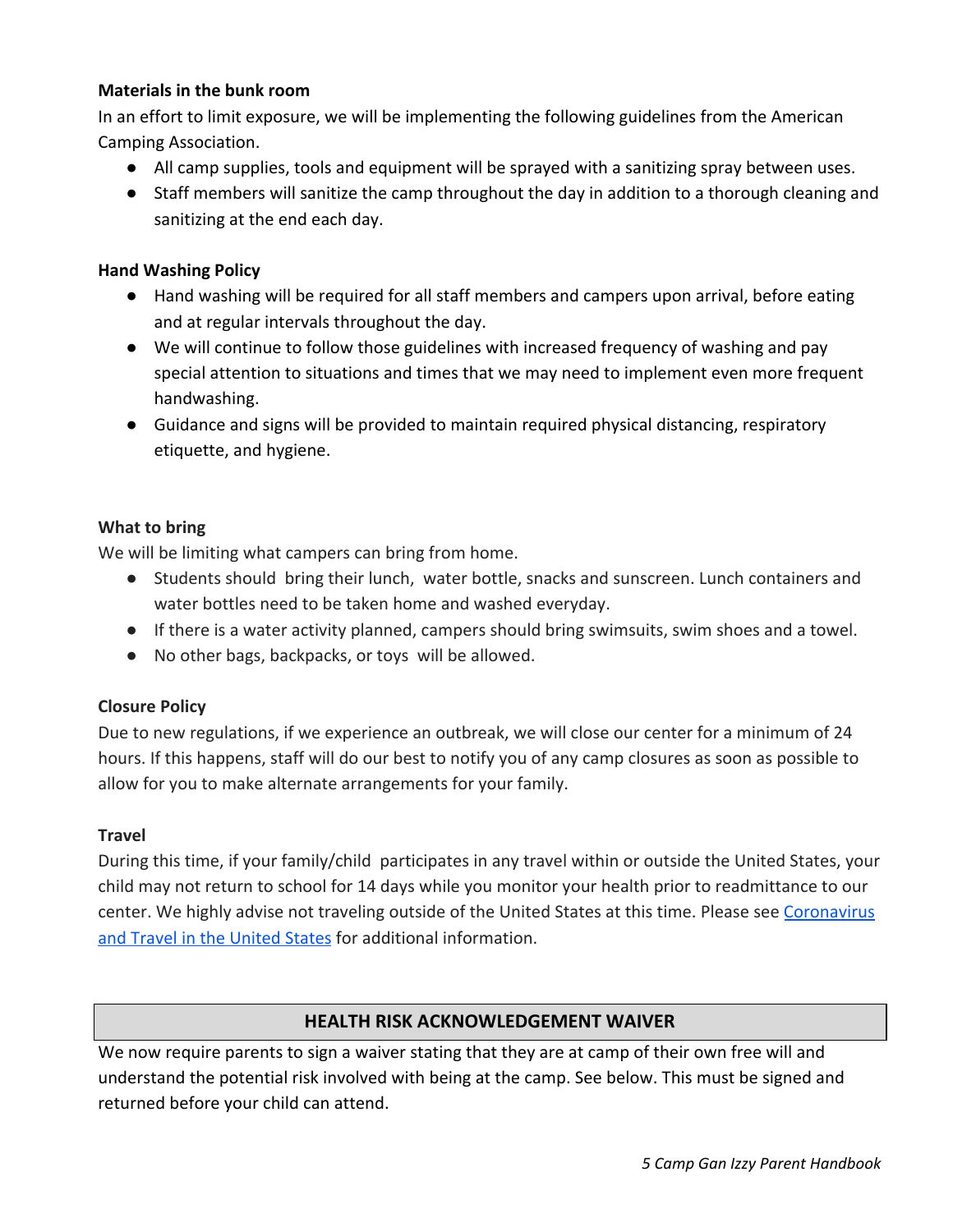#### **Materials in the bunk room**

In an effort to limit exposure, we will be implementing the following guidelines from the American Camping Association.

- All camp supplies, tools and equipment will be sprayed with a sanitizing spray between uses.
- Staff members will sanitize the camp throughout the day in addition to a thorough cleaning and sanitizing at the end each day.

### **Hand Washing Policy**

- Hand washing will be required for all staff members and campers upon arrival, before eating and at regular intervals throughout the day.
- We will continue to follow those guidelines with increased frequency of washing and pay special attention to situations and times that we may need to implement even more frequent handwashing.
- Guidance and signs will be provided to maintain required physical distancing, respiratory etiquette, and hygiene.

### **What to bring**

We will be limiting what campers can bring from home.

- Students should bring their lunch, water bottle, snacks and sunscreen. Lunch containers and water bottles need to be taken home and washed everyday.
- If there is a water activity planned, campers should bring swimsuits, swim shoes and a towel.
- No other bags, backpacks, or toys will be allowed.

# **Closure Policy**

Due to new regulations, if we experience an outbreak, we will close our center for a minimum of 24 hours. If this happens, staff will do our best to notify you of any camp closures as soon as possible to allow for you to make alternate arrangements for your family.

#### **Travel**

During this time, if your family/child participates in any travel within or outside the United States, your child may not return to school for 14 days while you monitor your health prior to readmittance to our center. We highly advise not traveling outside of the United States at this time. Please see [Coronavirus](https://www.cdc.gov/coronavirus/2019-ncov/travelers/travel-in-the-us.html) [and Travel in the United States](https://www.cdc.gov/coronavirus/2019-ncov/travelers/travel-in-the-us.html) for additional information.

# **HEALTH RISK ACKNOWLEDGEMENT WAIVER**

We now require parents to sign a waiver stating that they are at camp of their own free will and understand the potential risk involved with being at the camp. See below. This must be signed and returned before your child can attend.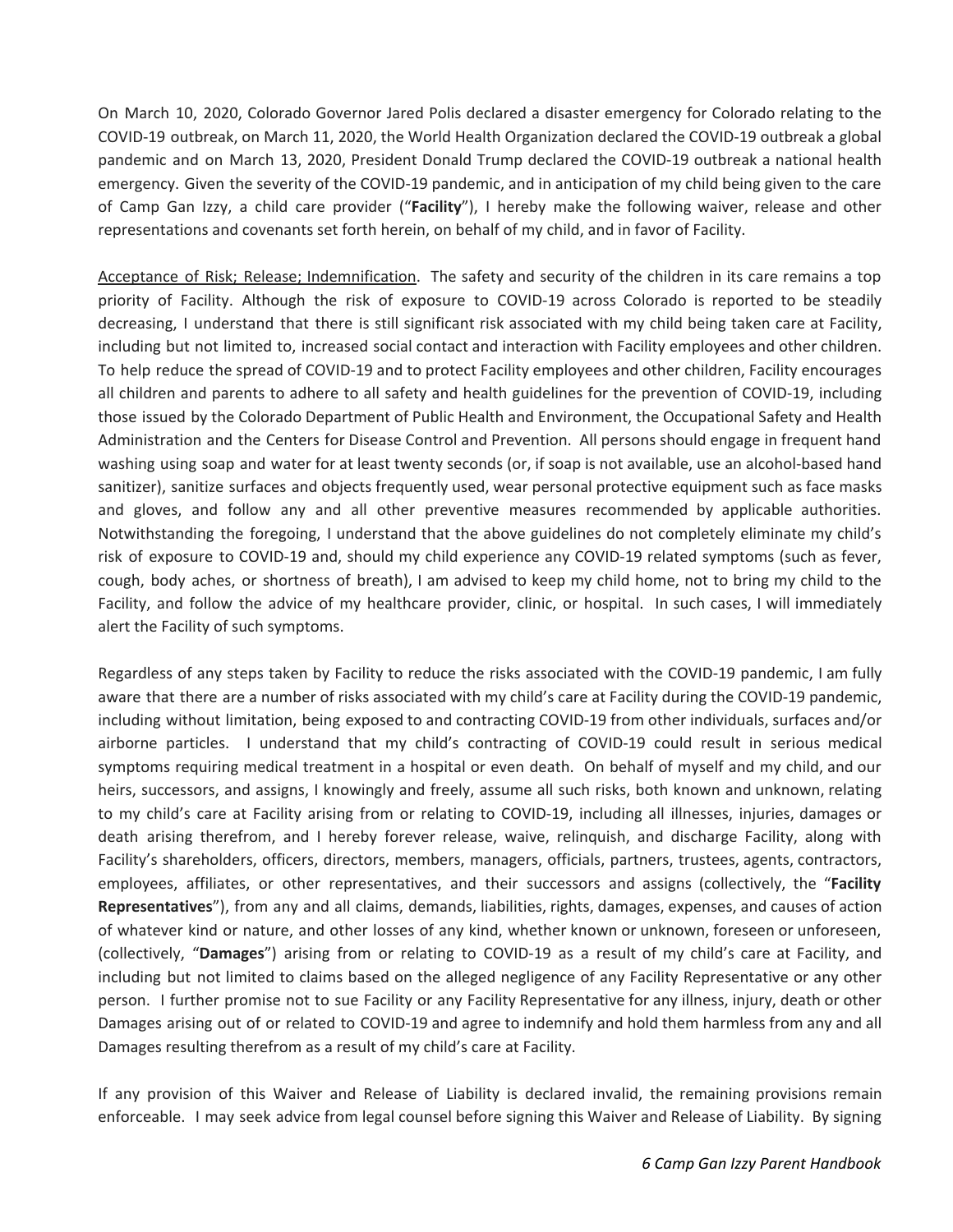On March 10, 2020, Colorado Governor Jared Polis declared a disaster emergency for Colorado relating to the COVID-19 outbreak, on March 11, 2020, the World Health Organization declared the COVID-19 outbreak a global pandemic and on March 13, 2020, President Donald Trump declared the COVID-19 outbreak a national health emergency. Given the severity of the COVID-19 pandemic, and in anticipation of my child being given to the care of Camp Gan Izzy, a child care provider ("**Facility**"), I hereby make the following waiver, release and other representations and covenants set forth herein, on behalf of my child, and in favor of Facility.

Acceptance of Risk; Release; Indemnification. The safety and security of the children in its care remains a top priority of Facility. Although the risk of exposure to COVID-19 across Colorado is reported to be steadily decreasing, I understand that there is still significant risk associated with my child being taken care at Facility, including but not limited to, increased social contact and interaction with Facility employees and other children. To help reduce the spread of COVID-19 and to protect Facility employees and other children, Facility encourages all children and parents to adhere to all safety and health guidelines for the prevention of COVID-19, including those issued by the Colorado Department of Public Health and Environment, the Occupational Safety and Health Administration and the Centers for Disease Control and Prevention. All persons should engage in frequent hand washing using soap and water for at least twenty seconds (or, if soap is not available, use an alcohol-based hand sanitizer), sanitize surfaces and objects frequently used, wear personal protective equipment such as face masks and gloves, and follow any and all other preventive measures recommended by applicable authorities. Notwithstanding the foregoing, I understand that the above guidelines do not completely eliminate my child's risk of exposure to COVID-19 and, should my child experience any COVID-19 related symptoms (such as fever, cough, body aches, or shortness of breath), I am advised to keep my child home, not to bring my child to the Facility, and follow the advice of my healthcare provider, clinic, or hospital. In such cases, I will immediately alert the Facility of such symptoms.

Regardless of any steps taken by Facility to reduce the risks associated with the COVID-19 pandemic, I am fully aware that there are a number of risks associated with my child's care at Facility during the COVID-19 pandemic, including without limitation, being exposed to and contracting COVID-19 from other individuals, surfaces and/or airborne particles. I understand that my child's contracting of COVID-19 could result in serious medical symptoms requiring medical treatment in a hospital or even death. On behalf of myself and my child, and our heirs, successors, and assigns, I knowingly and freely, assume all such risks, both known and unknown, relating to my child's care at Facility arising from or relating to COVID-19, including all illnesses, injuries, damages or death arising therefrom, and I hereby forever release, waive, relinquish, and discharge Facility, along with Facility's shareholders, officers, directors, members, managers, officials, partners, trustees, agents, contractors, employees, affiliates, or other representatives, and their successors and assigns (collectively, the "**Facility Representatives**"), from any and all claims, demands, liabilities, rights, damages, expenses, and causes of action of whatever kind or nature, and other losses of any kind, whether known or unknown, foreseen or unforeseen, (collectively, "**Damages**") arising from or relating to COVID-19 as a result of my child's care at Facility, and including but not limited to claims based on the alleged negligence of any Facility Representative or any other person. I further promise not to sue Facility or any Facility Representative for any illness, injury, death or other Damages arising out of or related to COVID-19 and agree to indemnify and hold them harmless from any and all Damages resulting therefrom as a result of my child's care at Facility.

If any provision of this Waiver and Release of Liability is declared invalid, the remaining provisions remain enforceable. I may seek advice from legal counsel before signing this Waiver and Release of Liability. By signing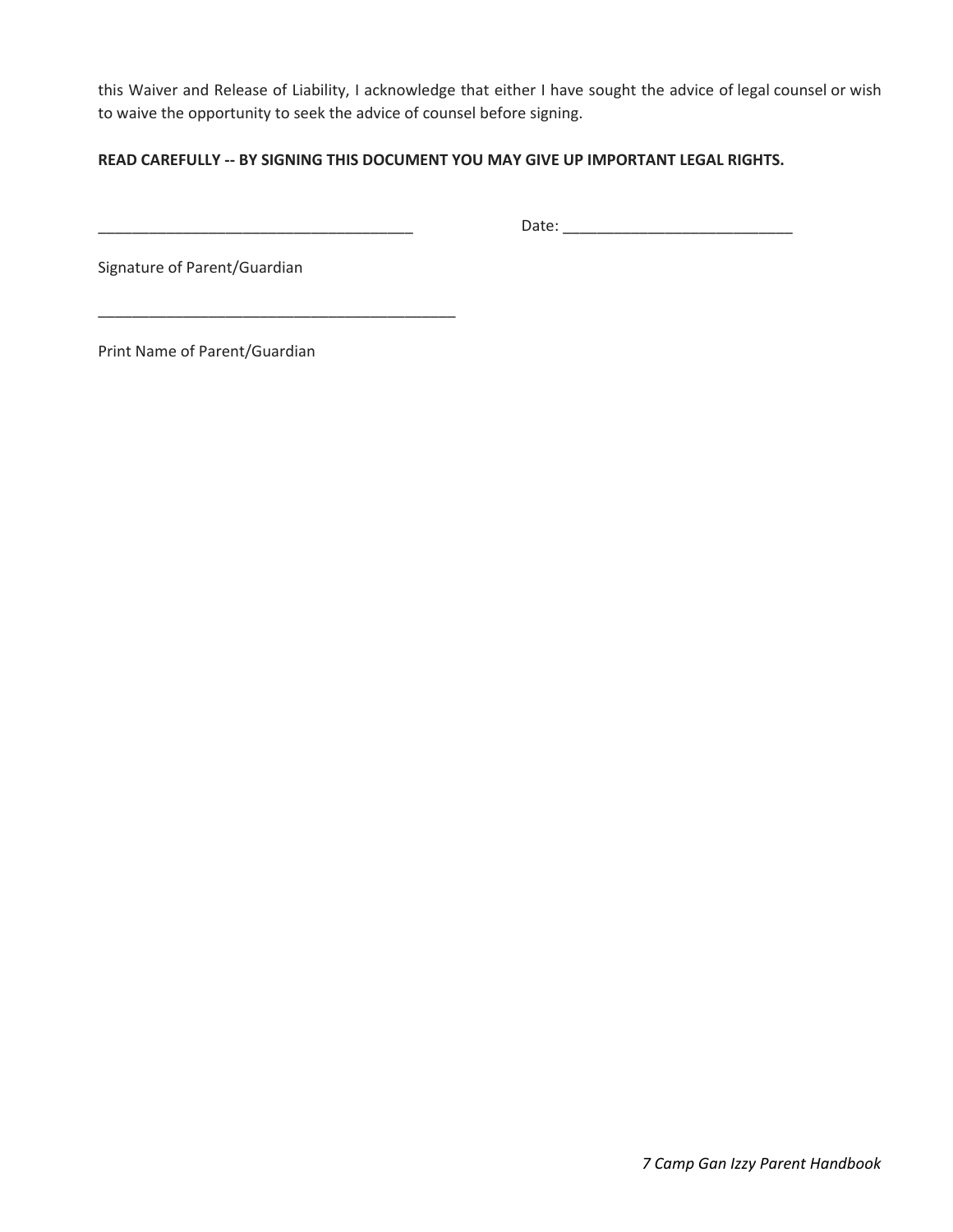this Waiver and Release of Liability, I acknowledge that either I have sought the advice of legal counsel or wish to waive the opportunity to seek the advice of counsel before signing.

#### **READ CAREFULLY -- BY SIGNING THIS DOCUMENT YOU MAY GIVE UP IMPORTANT LEGAL RIGHTS.**

\_\_\_\_\_\_\_\_\_\_\_\_\_\_\_\_\_\_\_\_\_\_\_\_\_\_\_\_\_\_\_\_\_\_\_\_\_ Date: \_\_\_\_\_\_\_\_\_\_\_\_\_\_\_\_\_\_\_\_\_\_\_\_\_\_\_

Signature of Parent/Guardian

Print Name of Parent/Guardian

\_\_\_\_\_\_\_\_\_\_\_\_\_\_\_\_\_\_\_\_\_\_\_\_\_\_\_\_\_\_\_\_\_\_\_\_\_\_\_\_\_\_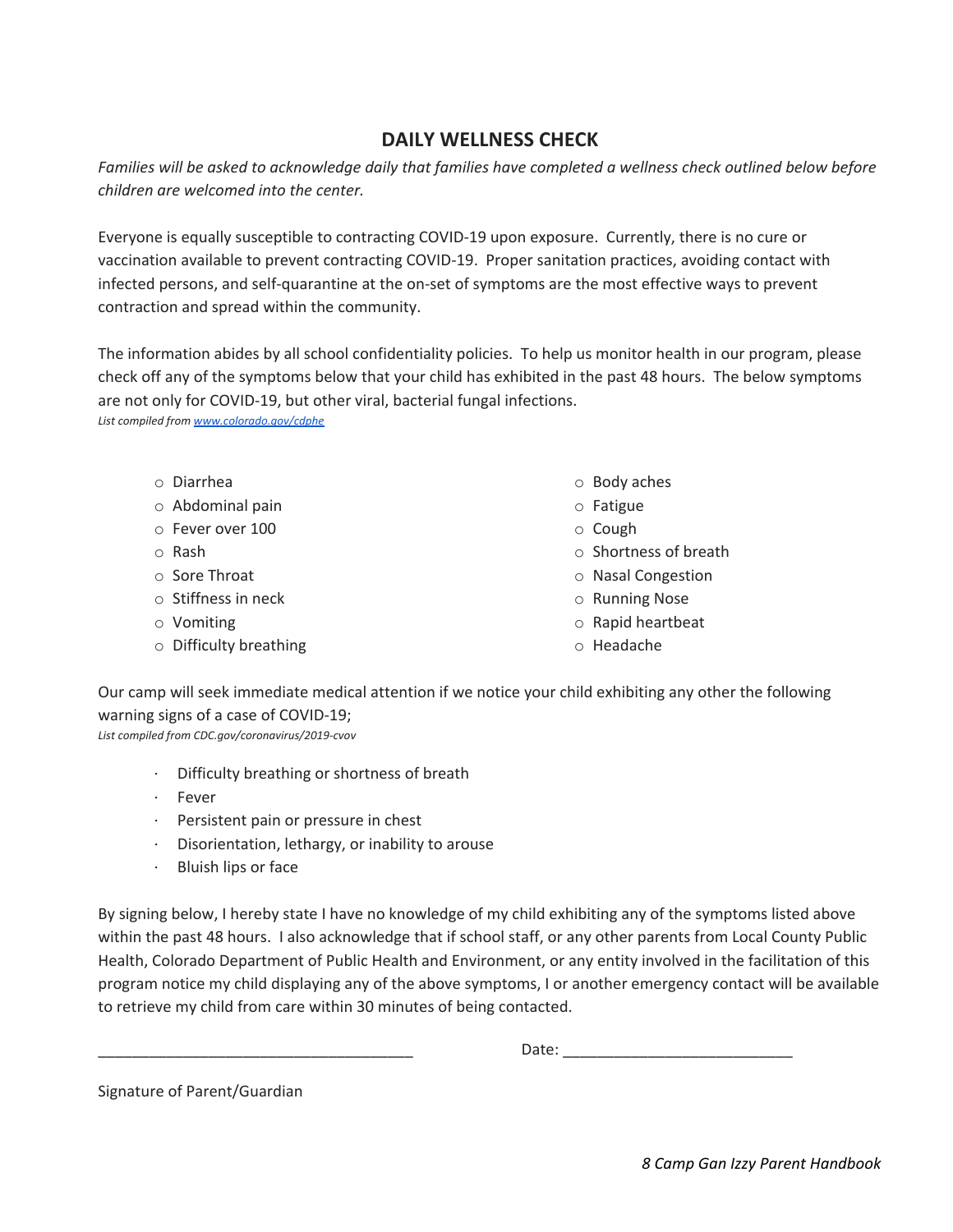# **DAILY WELLNESS CHECK**

Families will be asked to acknowledge daily that families have completed a wellness check outlined below before *children are welcomed into the center.*

Everyone is equally susceptible to contracting COVID-19 upon exposure. Currently, there is no cure or vaccination available to prevent contracting COVID-19. Proper sanitation practices, avoiding contact with infected persons, and self-quarantine at the on-set of symptoms are the most effective ways to prevent contraction and spread within the community.

The information abides by all school confidentiality policies. To help us monitor health in our program, please check off any of the symptoms below that your child has exhibited in the past 48 hours. The below symptoms are not only for COVID-19, but other viral, bacterial fungal infections. *List compiled from [www.colorado.gov/cdphe](http://www.colorado.gov/cdphe)*

o Diarrhea o Abdominal pain o Fever over 100 o Rash o Sore Throat o Stiffness in neck o Vomiting o Difficulty breathing o Body aches o Fatigue o Cough o Shortness of breath o Nasal Congestion o Running Nose o Rapid heartbeat o Headache

Our camp will seek immediate medical attention if we notice your child exhibiting any other the following warning signs of a case of COVID-19; *List compiled from CDC.gov/coronavirus/2019-cvov*

- · Difficulty breathing or shortness of breath
- **Fever**
- · Persistent pain or pressure in chest
- · Disorientation, lethargy, or inability to arouse
- Bluish lips or face

By signing below, I hereby state I have no knowledge of my child exhibiting any of the symptoms listed above within the past 48 hours. I also acknowledge that if school staff, or any other parents from Local County Public Health, Colorado Department of Public Health and Environment, or any entity involved in the facilitation of this program notice my child displaying any of the above symptoms, I or another emergency contact will be available to retrieve my child from care within 30 minutes of being contacted.

Date:

Signature of Parent/Guardian